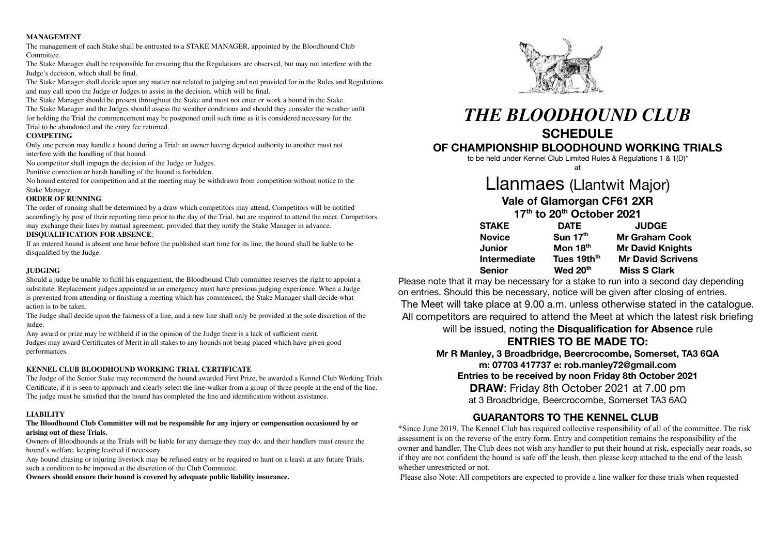#### **MANAGEMENT**

The management of each Stake shall be entrusted to a STAKE MANAGER, appointed by the Bloodhound Club Committee.

The Stake Manager shall be responsible for ensuring that the Regulations are observed, but may not interfere with the Judge's decision, which shall be final.

The Stake Manager shall decide upon any matter not related to judging and not provided for in the Rules and Regulations and may call upon the Judge or Judges to assist in the decision, which will be final.

The Stake Manager should be present throughout the Stake and must not enter or work a hound in the Stake. The Stake Manager and the Judges should assess the weather conditions and should they consider the weather unfit for holding the Trial the commencement may be postponed until such time as it is considered necessary for the Trial to be abandoned and the entry fee returned.

#### **COMPETING**

Only one person may handle a hound during a Trial; an owner having deputed authority to another must not interfere with the handling of that hound.

No competitor shall impugn the decision of the Judge or Judges.

Punitive correction or harsh handling of the hound is forbidden.

No hound entered for competition and at the meeting may be withdrawn from competition without notice to the Stake Manager.

#### **ORDER OF RUNNING**

The order of running shall be determined by a draw which competitors may attend. Competitors will be notified accordingly by post of their reporting time prior to the day of the Trial, but are required to attend the meet. Competitors may exchange their lines by mutual agreement, provided that they notify the Stake Manager in advance.

#### **DISQUALIFICATION FOR ABSENCE**:

If an entered hound is absent one hour before the published start time for its line, the hound shall be liable to be disqualified by the Judge.

#### **JUDGING**

Should a judge be unable to fulfil his engagement, the Bloodhound Club committee reserves the right to appoint a substitute. Replacement judges appointed in an emergency must have previous judging experience. When a Judge is prevented from attending or finishing a meeting which has commenced, the Stake Manager shall decide what action is to be taken.

The Judge shall decide upon the fairness of a line, and a new line shall only be provided at the sole discretion of the judge.

Any award or prize may be withheld if in the opinion of the Judge there is a lack of sufficient merit. Judges may award Certificates of Merit in all stakes to any hounds not being placed which have given good performances.

#### **KENNEL CLUB BLOODHOUND WORKING TRIAL CERTIFICATE**

The Judge of the Senior Stake may recommend the hound awarded First Prize, be awarded a Kennel Club Working Trials Certificate, if it is seen to approach and clearly select the line-walker from a group of three people at the end of the line. The judge must be satisfied that the hound has completed the line and identification without assistance.

#### **LIABILITY**

#### **The Bloodhound Club Committee will not be responsible for any injury or compensation occasioned by or arising out of these Trials.**

Owners of Bloodhounds at the Trials will be liable for any damage they may do, and their handlers must ensure the hound's welfare, keeping leashed if necessary.

Any hound chasing or injuring livestock may be refused entry or be required to hunt on a leash at any future Trials, such a condition to be imposed at the discretion of the Club Committee.

**Owners should ensure their hound is covered by adequate public liability insurance.**



## *THE BLOODHOUND CLUB* **SCHEDULE**

## **OF CHAMPIONSHIP BLOODHOUND WORKING TRIALS**

to be held under Kennel Club Limited Rules & Regulations 1 & 1(D)\*

at

# Llanmaes (Llantwit Major)

**Vale of Glamorgan CF61 2XR**

**17th to 20th October 2021**

| <b>STAKE</b>        | <b>DATE</b>             | <b>JUDGE</b>             |
|---------------------|-------------------------|--------------------------|
| <b>Novice</b>       | Sun $17th$              | <b>Mr Graham Cook</b>    |
| <b>Junior</b>       | Mon $18th$              | <b>Mr David Knights</b>  |
| <b>Intermediate</b> | Tues 19th <sup>th</sup> | <b>Mr David Scrivens</b> |
| <b>Senior</b>       | Wed 20th                | <b>Miss S Clark</b>      |

Please note that it may be necessary for a stake to run into a second day depending on entries. Should this be necessary, notice will be given after closing of entries. The Meet will take place at 9.00 a.m. unless otherwise stated in the catalogue. All competitors are required to attend the Meet at which the latest risk briefing will be issued, noting the **Disqualification for Absence** rule

## **ENTRIES TO BE MADE TO:**

**Mr R Manley, 3 Broadbridge, Beercrocombe, Somerset, TA3 6QA m: 07703 417737 e: rob.manley72@gmail.com Entries to be received by noon Friday 8th October 2021 DRAW**: Friday 8th October 2021 at 7.00 pm at 3 Broadbridge, Beercrocombe, Somerset TA3 6AQ

## **GUARANTORS TO THE KENNEL CLUB**

\*Since June 2019, The Kennel Club has required collective responsibility of all of the committee. The risk assessment is on the reverse of the entry form. Entry and competition remains the responsibility of the owner and handler. The Club does not wish any handler to put their hound at risk, especially near roads, so if they are not confident the hound is safe off the leash, then please keep attached to the end of the leash whether unrestricted or not.

Please also Note: All competitors are expected to provide a line walker for these trials when requested